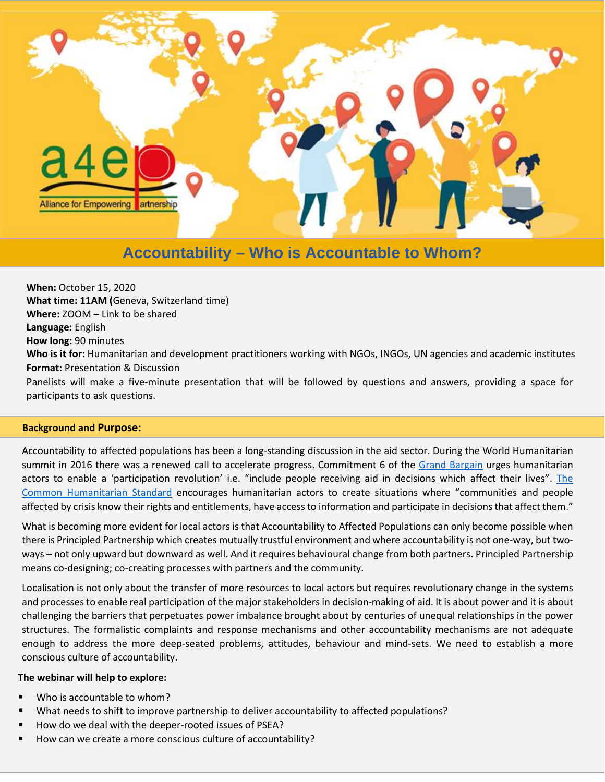

# **Accountability – Who is Accountable to Whom?**

**When:** October 15, 2020 **What time: 11AM (**Geneva, Switzerland time) **Where:** ZOOM – Link to be shared **Language:** English **How long:** 90 minutes **Who is it for:** Humanitarian and development practitioners working with NGOs, INGOs, UN agencies and academic institutes **Format:** Presentation & Discussion Panelists will make a five-minute presentation that will be followed by questions and answers, providing a space for participants to ask questions.

## **Background and Purpose:**

Accountability to affected populations has been a long-standing discussion in the aid sector. During the World Humanitarian summit in 2016 there was a renewed call to accelerate progress. Commitment 6 of the [Grand Bargain](https://interagencystandingcommittee.org/grand-bargain) urges humanitarian actors to enable a 'participation revolution' i.e. "include people receiving aid in decisions which affect their lives". [The](https://corehumanitarianstandard.org/the-standard)  [Common Humanitarian Standard](https://corehumanitarianstandard.org/the-standard) encourages humanitarian actors to create situations where "communities and people affected by crisis know their rights and entitlements, have access to information and participate in decisions that affect them."

What is becoming more evident for local actors is that Accountability to Affected Populations can only become possible when there is Principled Partnership which creates mutually trustful environment and where accountability is not one-way, but twoways – not only upward but downward as well. And it requires behavioural change from both partners. Principled Partnership means co-designing; co-creating processes with partners and the community.

Localisation is not only about the transfer of more resources to local actors but requires revolutionary change in the systems and processes to enable real participation of the major stakeholders in decision-making of aid. It is about power and it is about challenging the barriers that perpetuates power imbalance brought about by centuries of unequal relationships in the power structures. The formalistic complaints and response mechanisms and other accountability mechanisms are not adequate enough to address the more deep-seated problems, attitudes, behaviour and mind-sets. We need to establish a more conscious culture of accountability.

#### **The webinar will help to explore:**

- Who is accountable to whom?
- What needs to shift to improve partnership to deliver accountability to affected populations?
- How do we deal with the deeper-rooted issues of PSEA?
- How can we create a more conscious culture of accountability?